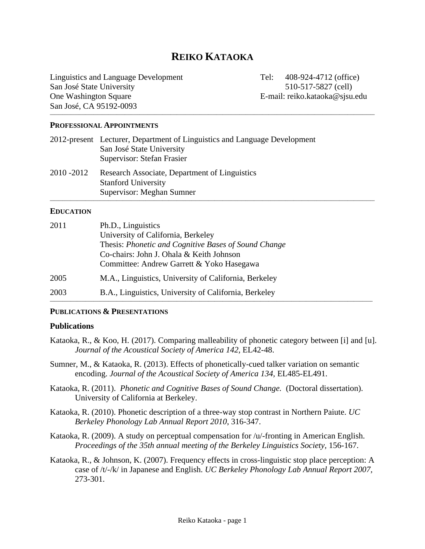# **REIKO KATAOKA**

**\_\_\_\_\_\_\_\_\_\_\_\_\_\_\_\_\_\_\_\_\_\_\_\_\_\_\_\_\_\_\_\_\_\_\_\_\_\_\_\_\_\_\_\_\_\_\_\_\_\_\_\_\_\_\_\_\_\_\_\_\_\_\_\_\_\_\_\_\_\_\_\_\_\_\_\_\_\_\_\_\_\_\_\_\_\_\_\_\_\_\_\_\_\_\_\_\_\_\_\_\_\_\_\_\_\_\_\_\_\_\_\_\_\_\_\_\_\_\_\_\_\_\_\_\_\_\_\_\_\_\_\_\_\_\_\_\_\_\_\_\_\_\_\_\_\_\_\_\_\_\_\_\_\_\_\_**

**\_\_\_\_\_\_\_\_\_\_\_\_\_\_\_\_\_\_\_\_\_\_\_\_\_\_\_\_\_\_\_\_\_\_\_\_\_\_\_\_\_\_\_\_\_\_\_\_\_\_\_\_\_\_\_\_\_\_\_\_\_\_\_\_\_\_\_\_\_\_\_\_\_\_\_\_\_\_\_\_\_\_\_\_\_\_\_\_\_\_\_\_\_\_\_\_\_\_\_\_\_\_\_\_\_\_\_\_\_\_\_\_\_\_\_\_\_\_\_\_\_\_\_\_\_\_\_\_\_\_\_\_\_\_\_\_\_\_\_\_\_\_\_\_\_\_\_\_\_\_\_\_\_\_\_\_**

Linguistics and Language Development Tel: 408-924-4712 (office) San José State University 510-517-5827 (cell) One Washington Square **E-mail:** reiko.kataoka@sjsu.edu San José, CA 95192-0093

#### **PROFESSIONAL APPOINTMENTS**

|           | 2012-present Lecturer, Department of Linguistics and Language Development<br>San José State University<br>Supervisor: Stefan Frasier |
|-----------|--------------------------------------------------------------------------------------------------------------------------------------|
| 2010-2012 | Research Associate, Department of Linguistics<br><b>Stanford University</b><br>Supervisor: Meghan Sumner                             |

#### **EDUCATION**

| 2011 | Ph.D., Linguistics<br>University of California, Berkeley<br>Thesis: Phonetic and Cognitive Bases of Sound Change<br>Co-chairs: John J. Ohala & Keith Johnson |
|------|--------------------------------------------------------------------------------------------------------------------------------------------------------------|
| 2005 | Committee: Andrew Garrett & Yoko Hasegawa<br>M.A., Linguistics, University of California, Berkeley                                                           |
| 2003 | B.A., Linguistics, University of California, Berkeley                                                                                                        |

#### **PUBLICATIONS & PRESENTATIONS**

#### **Publications**

- Kataoka, R., & Koo, H. (2017). Comparing malleability of phonetic category between [i] and [u]. *Journal of the Acoustical Society of America 142,* EL42-48.
- Sumner, M., & Kataoka, R. (2013). Effects of phonetically-cued talker variation on semantic encoding. *Journal of the Acoustical Society of America 134,* EL485-EL491.
- Kataoka, R. (2011). *Phonetic and Cognitive Bases of Sound Change.* (Doctoral dissertation). University of California at Berkeley.
- Kataoka, R. (2010). Phonetic description of a three-way stop contrast in Northern Paiute. *UC Berkeley Phonology Lab Annual Report 2010*, 316-347.
- Kataoka, R. (2009). A study on perceptual compensation for /u/-fronting in American English. *Proceedings of the 35th annual meeting of the Berkeley Linguistics Society,* 156-167.
- Kataoka, R., & Johnson, K. (2007). Frequency effects in cross-linguistic stop place perception: A case of /t/-/k/ in Japanese and English. *UC Berkeley Phonology Lab Annual Report 2007,* 273-301.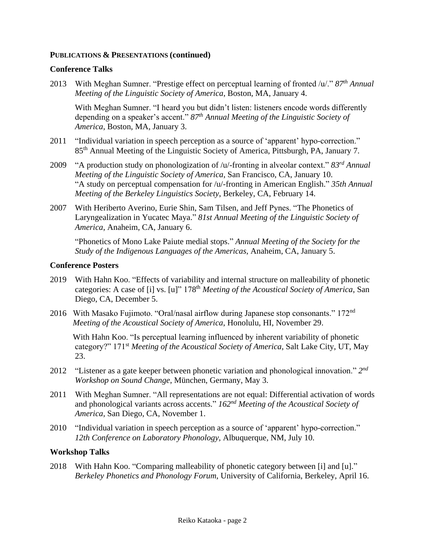### **PUBLICATIONS & PRESENTATIONS (continued)**

### **Conference Talks**

2013 With Meghan Sumner. "Prestige effect on perceptual learning of fronted /u/." *87th Annual Meeting of the Linguistic Society of America*, Boston, MA, January 4.

With Meghan Sumner. "I heard you but didn't listen: listeners encode words differently depending on a speaker's accent." *87th Annual Meeting of the Linguistic Society of America*, Boston, MA, January 3.

- 2011 "Individual variation in speech perception as a source of 'apparent' hypo-correction." 85<sup>th</sup> Annual Meeting of the Linguistic Society of America, Pittsburgh, PA, January 7.
- 2009 "A production study on phonologization of /u/-fronting in alveolar context." *83rd Annual Meeting of the Linguistic Society of America*, San Francisco, CA, January 10. "A study on perceptual compensation for /u/-fronting in American English." *35th Annual Meeting of the Berkeley Linguistics Society*, Berkeley, CA, February 14.
- 2007 With Heriberto Averino, Eurie Shin, Sam Tilsen, and Jeff Pynes. "The Phonetics of Laryngealization in Yucatec Maya." *81st Annual Meeting of the Linguistic Society of America*, Anaheim, CA, January 6.

"Phonetics of Mono Lake Paiute medial stops." *Annual Meeting of the Society for the Study of the Indigenous Languages of the Americas*, Anaheim, CA, January 5.

#### **Conference Posters**

- 2019 With Hahn Koo. "Effects of variability and internal structure on malleability of phonetic categories: A case of [i] vs. [u]" 178<sup>th</sup> *Meeting of the Acoustical Society of America*, San Diego, CA, December 5.
- 2016 With Masako Fujimoto. "Oral/nasal airflow during Japanese stop consonants." 172<sup>nd</sup> *Meeting of the Acoustical Society of America*, Honolulu, HI, November 29.

With Hahn Koo. "Is perceptual learning influenced by inherent variability of phonetic category?" 171st *Meeting of the Acoustical Society of America*, Salt Lake City, UT, May 23.

- 2012 "Listener as a gate keeper between phonetic variation and phonological innovation." *2 nd Workshop on Sound Change*, München, Germany, May 3.
- 2011 With Meghan Sumner. "All representations are not equal: Differential activation of words and phonological variants across accents." *162nd Meeting of the Acoustical Society of America*, San Diego, CA, November 1.
- 2010 "Individual variation in speech perception as a source of 'apparent' hypo-correction." *12th Conference on Laboratory Phonology,* Albuquerque*,* NM, July 10.

### **Workshop Talks**

2018 With Hahn Koo. "Comparing malleability of phonetic category between [i] and [u]." *Berkeley Phonetics and Phonology Forum*, University of California, Berkeley, April 16.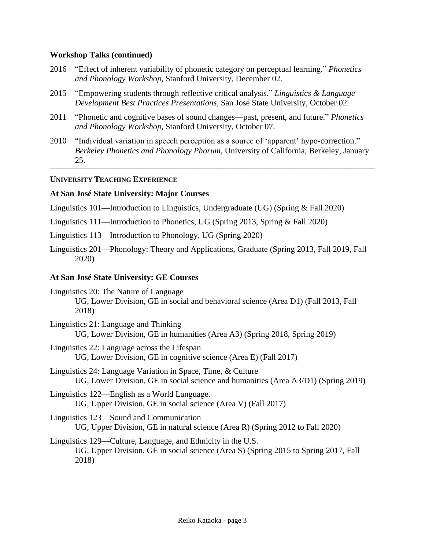### **Workshop Talks (continued)**

- 2016 "Effect of inherent variability of phonetic category on perceptual learning." *Phonetics and Phonology Workshop,* Stanford University*,* December 02.
- 2015 "Empowering students through reflective critical analysis." *Linguistics & Language Development Best Practices Presentations,* San José State University*,* October 02.
- 2011 "Phonetic and cognitive bases of sound changes—past, present, and future." *Phonetics and Phonology Workshop,* Stanford University*,* October 07.
- 2010 "Individual variation in speech perception as a source of 'apparent' hypo-correction." *Berkeley Phonetics and Phonology Phorum,* University of California, Berkeley*,* January 25.

**\_\_\_\_\_\_\_\_\_\_\_\_\_\_\_\_\_\_\_\_\_\_\_\_\_\_\_\_\_\_\_\_\_\_\_\_\_\_\_\_\_\_\_\_\_\_\_\_\_\_\_\_\_\_\_\_\_\_\_\_\_\_\_\_\_\_\_\_\_\_\_\_\_\_\_\_\_\_\_\_\_\_\_\_\_\_\_\_\_\_\_\_\_\_\_\_\_\_\_\_\_\_\_\_\_\_\_\_\_\_\_\_\_\_\_\_\_\_\_\_\_\_\_\_\_\_\_\_\_\_\_\_\_\_\_\_\_\_\_\_\_\_\_\_\_\_\_\_\_\_\_\_\_\_\_\_**

#### **UNIVERSITY TEACHING EXPERIENCE**

#### **At San José State University: Major Courses**

Linguistics 101—Introduction to Linguistics, Undergraduate (UG) (Spring & Fall 2020)

- Linguistics 111—Introduction to Phonetics, UG (Spring 2013, Spring & Fall 2020)
- Linguistics 113—Introduction to Phonology, UG (Spring 2020)
- Linguistics 201—Phonology: Theory and Applications, Graduate (Spring 2013, Fall 2019, Fall 2020)

#### **At San José State University: GE Courses**

- Linguistics 20: The Nature of Language UG, Lower Division, GE in social and behavioral science (Area D1) (Fall 2013, Fall 2018)
- Linguistics 21: Language and Thinking UG, Lower Division, GE in humanities (Area A3) (Spring 2018, Spring 2019)
- Linguistics 22: Language across the Lifespan UG, Lower Division, GE in cognitive science (Area E) (Fall 2017)
- Linguistics 24: Language Variation in Space, Time, & Culture UG, Lower Division, GE in social science and humanities (Area A3/D1) (Spring 2019)
- Linguistics 122—English as a World Language. UG, Upper Division, GE in social science (Area V) (Fall 2017)
- Linguistics 123—Sound and Communication UG, Upper Division, GE in natural science (Area R) (Spring 2012 to Fall 2020)
- Linguistics 129—Culture, Language, and Ethnicity in the U.S. UG, Upper Division, GE in social science (Area S) (Spring 2015 to Spring 2017, Fall 2018)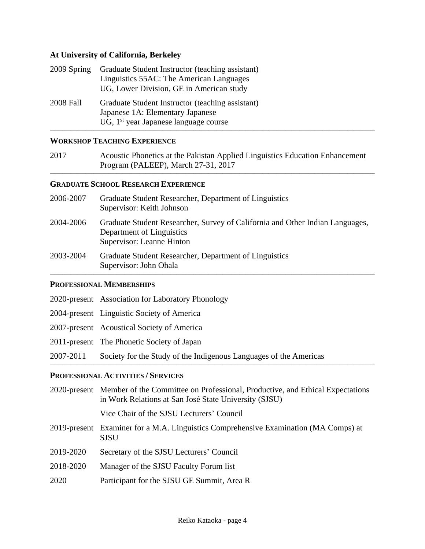## **At University of California, Berkeley**

| 2009 Spring | Graduate Student Instructor (teaching assistant)  |
|-------------|---------------------------------------------------|
|             | Linguistics 55AC: The American Languages          |
|             | UG, Lower Division, GE in American study          |
| 2008 Fall   | Graduate Student Instructor (teaching assistant)  |
|             | Japanese 1A: Elementary Japanese                  |
|             | UG, 1 <sup>st</sup> year Japanese language course |

### **WORKSHOP TEACHING EXPERIENCE**

| 2017 | Acoustic Phonetics at the Pakistan Applied Linguistics Education Enhancement |
|------|------------------------------------------------------------------------------|
|      | Program (PALEEP), March 27-31, 2017                                          |

**\_\_\_\_\_\_\_\_\_\_\_\_\_\_\_\_\_\_\_\_\_\_\_\_\_\_\_\_\_\_\_\_\_\_\_\_\_\_\_\_\_\_\_\_\_\_\_\_\_\_\_\_\_\_\_\_\_\_\_\_\_\_\_\_\_\_\_\_\_\_\_\_\_\_\_\_\_\_\_\_\_\_\_\_\_\_\_\_\_\_\_\_\_\_\_\_\_\_\_\_\_\_\_\_\_\_\_\_\_\_\_\_\_\_\_\_\_\_\_\_\_\_\_\_\_\_\_\_\_\_\_\_\_\_\_\_\_\_\_\_\_\_\_\_\_\_\_\_\_\_\_\_\_\_\_\_**

### **GRADUATE SCHOOL RESEARCH EXPERIENCE**

| 2006-2007 | Graduate Student Researcher, Department of Linguistics<br>Supervisor: Keith Johnson                                                     |
|-----------|-----------------------------------------------------------------------------------------------------------------------------------------|
| 2004-2006 | Graduate Student Researcher, Survey of California and Other Indian Languages,<br>Department of Linguistics<br>Supervisor: Leanne Hinton |
| 2003-2004 | Graduate Student Researcher, Department of Linguistics<br>Supervisor: John Ohala                                                        |

#### **PROFESSIONAL MEMBERSHIPS**

|           | 2020-present Association for Laboratory Phonology                 |
|-----------|-------------------------------------------------------------------|
|           | 2004-present Linguistic Society of America                        |
|           | 2007-present Acoustical Society of America                        |
|           | 2011-present The Phonetic Society of Japan                        |
| 2007-2011 | Society for the Study of the Indigenous Languages of the Americas |

## **PROFESSIONAL ACTIVITIES / SERVICES**

| 2020-present Member of the Committee on Professional, Productive, and Ethical Expectations<br>in Work Relations at San José State University (SJSU) |
|-----------------------------------------------------------------------------------------------------------------------------------------------------|
| Vice Chair of the SJSU Lecturers' Council                                                                                                           |
| 2019-present Examiner for a M.A. Linguistics Comprehensive Examination (MA Comps) at<br><b>SJSU</b>                                                 |
| Secretary of the SJSU Lecturers' Council                                                                                                            |
| Manager of the SJSU Faculty Forum list                                                                                                              |
| Participant for the SJSU GE Summit, Area R                                                                                                          |
|                                                                                                                                                     |

**\_\_\_\_\_\_\_\_\_\_\_\_\_\_\_\_\_\_\_\_\_\_\_\_\_\_\_\_\_\_\_\_\_\_\_\_\_\_\_\_\_\_\_\_\_\_\_\_\_\_\_\_\_\_\_\_\_\_\_\_\_\_\_\_\_\_\_\_\_\_\_\_\_\_\_\_\_\_\_\_\_\_\_\_\_\_\_\_\_\_\_\_\_\_\_\_\_\_\_\_\_\_\_\_\_\_\_\_\_\_\_\_\_\_\_\_\_\_\_\_\_\_\_\_\_\_\_\_\_\_\_\_\_\_\_\_\_\_\_\_\_\_\_\_\_\_\_\_\_\_\_\_\_\_\_\_**